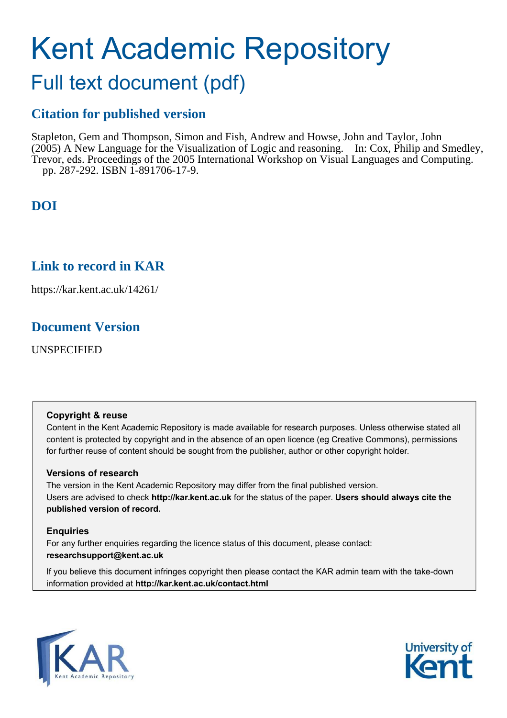# Kent Academic Repository

## Full text document (pdf)

## **Citation for published version**

Stapleton, Gem and Thompson, Simon and Fish, Andrew and Howse, John and Taylor, John (2005) A New Language for the Visualization of Logic and reasoning. In: Cox, Philip and Smedley, Trevor, eds. Proceedings of the 2005 International Workshop on Visual Languages and Computing. pp. 287-292. ISBN 1-891706-17-9.

## **DOI**

## **Link to record in KAR**

https://kar.kent.ac.uk/14261/

## **Document Version**

UNSPECIFIED

#### **Copyright & reuse**

Content in the Kent Academic Repository is made available for research purposes. Unless otherwise stated all content is protected by copyright and in the absence of an open licence (eg Creative Commons), permissions for further reuse of content should be sought from the publisher, author or other copyright holder.

#### **Versions of research**

The version in the Kent Academic Repository may differ from the final published version. Users are advised to check **http://kar.kent.ac.uk** for the status of the paper. **Users should always cite the published version of record.**

#### **Enquiries**

For any further enquiries regarding the licence status of this document, please contact: **researchsupport@kent.ac.uk**

If you believe this document infringes copyright then please contact the KAR admin team with the take-down information provided at **http://kar.kent.ac.uk/contact.html**



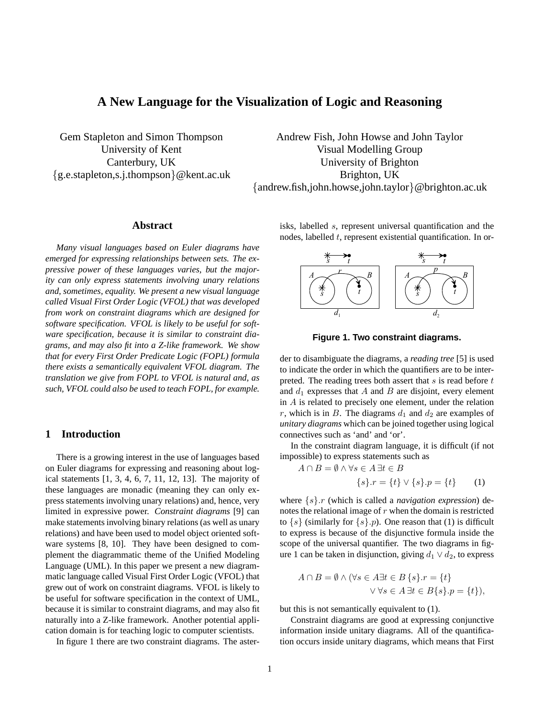#### **A New Language for the Visualization of Logic and Reasoning**

Gem Stapleton and Simon Thompson University of Kent Canterbury, UK {g.e.stapleton,s.j.thompson}@kent.ac.uk

Andrew Fish, John Howse and John Taylor Visual Modelling Group University of Brighton Brighton, UK {andrew.fish,john.howse,john.taylor}@brighton.ac.uk

#### **Abstract**

*Many visual languages based on Euler diagrams have emerged for expressing relationships between sets. The expressive power of these languages varies, but the majority can only express statements involving unary relations and, sometimes, equality. We present a new visual language called Visual First Order Logic (VFOL) that was developed from work on constraint diagrams which are designed for software specification. VFOL is likely to be useful for software specification, because it is similar to constraint diagrams, and may also fit into a Z-like framework. We show that for every First Order Predicate Logic (FOPL) formula there exists a semantically equivalent VFOL diagram. The translation we give from FOPL to VFOL is natural and, as such, VFOL could also be used to teach FOPL, for example.*

#### **1 Introduction**

There is a growing interest in the use of languages based on Euler diagrams for expressing and reasoning about logical statements [1, 3, 4, 6, 7, 11, 12, 13]. The majority of these languages are monadic (meaning they can only express statements involving unary relations) and, hence, very limited in expressive power. *Constraint diagrams* [9] can make statements involving binary relations (as well as unary relations) and have been used to model object oriented software systems [8, 10]. They have been designed to complement the diagrammatic theme of the Unified Modeling Language (UML). In this paper we present a new diagrammatic language called Visual First Order Logic (VFOL) that grew out of work on constraint diagrams. VFOL is likely to be useful for software specification in the context of UML, because it is similar to constraint diagrams, and may also fit naturally into a Z-like framework. Another potential application domain is for teaching logic to computer scientists.

In figure 1 there are two constraint diagrams. The aster-

isks, labelled s, represent universal quantification and the nodes, labelled  $t$ , represent existential quantification. In or-



**Figure 1. Two constraint diagrams.**

der to disambiguate the diagrams, a *reading tree* [5] is used to indicate the order in which the quantifiers are to be interpreted. The reading trees both assert that  $s$  is read before  $t$ and  $d_1$  expresses that A and B are disjoint, every element in A is related to precisely one element, under the relation r, which is in B. The diagrams  $d_1$  and  $d_2$  are examples of *unitary diagrams* which can be joined together using logical connectives such as 'and' and 'or'.

In the constraint diagram language, it is difficult (if not impossible) to express statements such as

$$
A \cap B = \emptyset \land \forall s \in A \,\exists t \in B
$$

$$
\{s\}.r = \{t\} \vee \{s\}.p = \{t\} \tag{1}
$$

where {s}.r (which is called a *navigation expression*) denotes the relational image of  $r$  when the domain is restricted to  $\{s\}$  (similarly for  $\{s\}$ .*p*). One reason that (1) is difficult to express is because of the disjunctive formula inside the scope of the universal quantifier. The two diagrams in figure 1 can be taken in disjunction, giving  $d_1 \vee d_2$ , to express

$$
A \cap B = \emptyset \land (\forall s \in A \exists t \in B \{s\}.r = \{t\} \lor \forall s \in A \exists t \in B \{s\}.p = \{t\}),
$$

but this is not semantically equivalent to (1).

Constraint diagrams are good at expressing conjunctive information inside unitary diagrams. All of the quantification occurs inside unitary diagrams, which means that First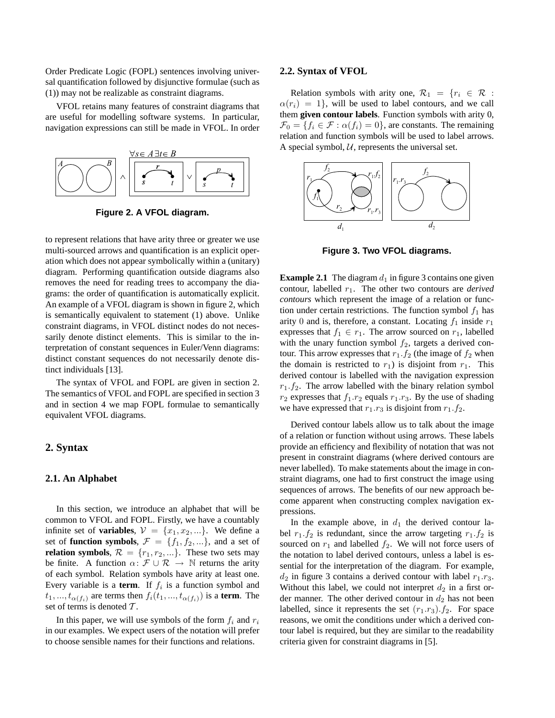Order Predicate Logic (FOPL) sentences involving universal quantification followed by disjunctive formulae (such as (1)) may not be realizable as constraint diagrams.

VFOL retains many features of constraint diagrams that are useful for modelling software systems. In particular, navigation expressions can still be made in VFOL. In order



**Figure 2. A VFOL diagram.**

to represent relations that have arity three or greater we use multi-sourced arrows and quantification is an explicit operation which does not appear symbolically within a (unitary) diagram. Performing quantification outside diagrams also removes the need for reading trees to accompany the diagrams: the order of quantification is automatically explicit. An example of a VFOL diagram is shown in figure 2, which is semantically equivalent to statement (1) above. Unlike constraint diagrams, in VFOL distinct nodes do not necessarily denote distinct elements. This is similar to the interpretation of constant sequences in Euler/Venn diagrams: distinct constant sequences do not necessarily denote distinct individuals [13].

The syntax of VFOL and FOPL are given in section 2. The semantics of VFOL and FOPL are specified in section 3 and in section 4 we map FOPL formulae to semantically equivalent VFOL diagrams.

#### **2. Syntax**

#### **2.1. An Alphabet**

In this section, we introduce an alphabet that will be common to VFOL and FOPL. Firstly, we have a countably infinite set of **variables**,  $V = \{x_1, x_2, ...\}$ . We define a set of **function symbols**,  $\mathcal{F} = \{f_1, f_2, ...\}$ , and a set of **relation symbols**,  $\mathcal{R} = \{r_1, r_2, ...\}$ . These two sets may be finite. A function  $\alpha: \mathcal{F} \cup \mathcal{R} \rightarrow \mathbb{N}$  returns the arity of each symbol. Relation symbols have arity at least one. Every variable is a **term**. If  $f_i$  is a function symbol and  $t_1, ..., t_{\alpha(f_i)}$  are terms then  $f_i(t_1, ..., t_{\alpha(f_i)})$  is a **term**. The set of terms is denoted  $\mathcal T$ .

In this paper, we will use symbols of the form  $f_i$  and  $r_i$ in our examples. We expect users of the notation will prefer to choose sensible names for their functions and relations.

#### **2.2. Syntax of VFOL**

Relation symbols with arity one,  $\mathcal{R}_1 = \{r_i \in \mathcal{R} :$  $\alpha(r_i) = 1$ , will be used to label contours, and we call them **given contour labels**. Function symbols with arity 0,  $\mathcal{F}_0 = \{f_i \in \mathcal{F} : \alpha(f_i) = 0\}$ , are constants. The remaining relation and function symbols will be used to label arrows. A special symbol,  $U$ , represents the universal set.



**Figure 3. Two VFOL diagrams.**

**Example 2.1** The diagram  $d_1$  in figure 3 contains one given contour, labelled r1. The other two contours are *derived contours* which represent the image of a relation or function under certain restrictions. The function symbol  $f_1$  has arity 0 and is, therefore, a constant. Locating  $f_1$  inside  $r_1$ expresses that  $f_1 \in r_1$ . The arrow sourced on  $r_1$ , labelled with the unary function symbol  $f_2$ , targets a derived contour. This arrow expresses that  $r_1.f_2$  (the image of  $f_2$  when the domain is restricted to  $r_1$ ) is disjoint from  $r_1$ . This derived contour is labelled with the navigation expression  $r_1.f_2$ . The arrow labelled with the binary relation symbol  $r_2$  expresses that  $f_1.r_2$  equals  $r_1.r_3$ . By the use of shading we have expressed that  $r_1.r_3$  is disjoint from  $r_1.f_2$ .

Derived contour labels allow us to talk about the image of a relation or function without using arrows. These labels provide an efficiency and flexibility of notation that was not present in constraint diagrams (where derived contours are never labelled). To make statements about the image in constraint diagrams, one had to first construct the image using sequences of arrows. The benefits of our new approach become apparent when constructing complex navigation expressions.

In the example above, in  $d_1$  the derived contour label  $r_1.f_2$  is redundant, since the arrow targeting  $r_1.f_2$  is sourced on  $r_1$  and labelled  $f_2$ . We will not force users of the notation to label derived contours, unless a label is essential for the interpretation of the diagram. For example,  $d_2$  in figure 3 contains a derived contour with label  $r_1.r_3$ . Without this label, we could not interpret  $d_2$  in a first order manner. The other derived contour in  $d_2$  has not been labelled, since it represents the set  $(r_1.r_3).f_2$ . For space reasons, we omit the conditions under which a derived contour label is required, but they are similar to the readability criteria given for constraint diagrams in [5].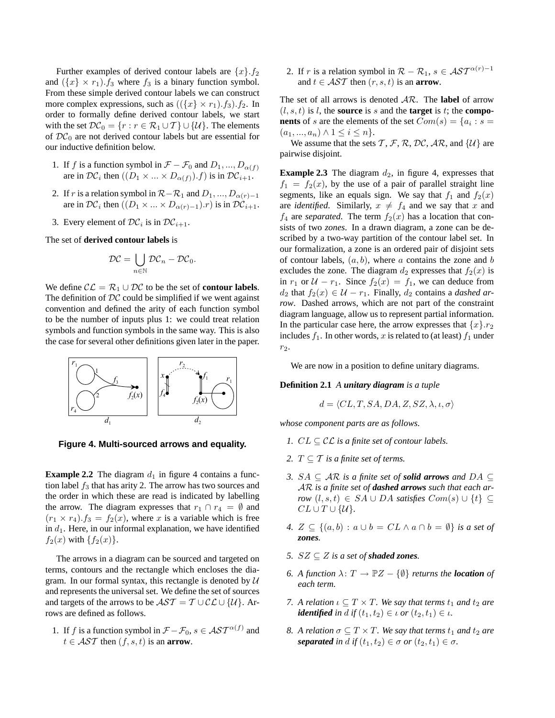Further examples of derived contour labels are  $\{x\}$ .  $f_2$ and  $({x} \times r_1)$ .  $f_3$  where  $f_3$  is a binary function symbol. From these simple derived contour labels we can construct more complex expressions, such as  $((\{x\} \times r_1).f_3).f_2.$  In order to formally define derived contour labels, we start with the set  $\mathcal{DC}_0 = \{r : r \in \mathcal{R}_1 \cup \mathcal{T}\} \cup \{\mathcal{U}\}\$ . The elements of  $DC_0$  are not derived contour labels but are essential for our inductive definition below.

- 1. If f is a function symbol in  $\mathcal{F} \mathcal{F}_0$  and  $D_1, ..., D_{\alpha(f)}$ are in  $\mathcal{DC}_i$  then  $((D_1 \times ... \times D_{\alpha(f)}).f)$  is in  $\mathcal{DC}_{i+1}$ .
- 2. If r is a relation symbol in  $\mathcal{R}-\mathcal{R}_1$  and  $D_1, ..., D_{\alpha(r)-1}$ are in  $\mathcal{DC}_i$  then  $((D_1 \times ... \times D_{\alpha(r)-1}).r)$  is in  $\mathcal{DC}_{i+1}$ .
- 3. Every element of  $DC_i$  is in  $DC_{i+1}$ .

The set of **derived contour labels** is

$$
\mathcal{DC} = \bigcup_{n \in \mathbb{N}} \mathcal{DC}_n - \mathcal{DC}_0.
$$

We define  $\mathcal{CL} = \mathcal{R}_1 \cup \mathcal{DC}$  to be the set of **contour labels**. The definition of  $DC$  could be simplified if we went against convention and defined the arity of each function symbol to be the number of inputs plus 1: we could treat relation symbols and function symbols in the same way. This is also the case for several other definitions given later in the paper.



**Figure 4. Multi-sourced arrows and equality.**

**Example 2.2** The diagram  $d_1$  in figure 4 contains a function label  $f_3$  that has arity 2. The arrow has two sources and the order in which these are read is indicated by labelling the arrow. The diagram expresses that  $r_1 \cap r_4 = \emptyset$  and  $(r_1 \times r_4)$ .  $f_3 = f_2(x)$ , where x is a variable which is free in  $d_1$ . Here, in our informal explanation, we have identified  $f_2(x)$  with  ${f_2(x)}$ .

The arrows in a diagram can be sourced and targeted on terms, contours and the rectangle which encloses the diagram. In our formal syntax, this rectangle is denoted by  $U$ and represents the universal set. We define the set of sources and targets of the arrows to be  $\mathcal{AST} = \mathcal{T} \cup \mathcal{CL} \cup \{\mathcal{U}\}\$ . Arrows are defined as follows.

1. If f is a function symbol in  $\mathcal{F} - \mathcal{F}_0$ ,  $s \in \mathcal{AST}^{\alpha(f)}$  and  $t \in \mathcal{AST}$  then  $(f, s, t)$  is an **arrow**.

2. If r is a relation symbol in  $\mathcal{R} - \mathcal{R}_1$ ,  $s \in \mathcal{AST}^{\alpha(r)-1}$ and  $t \in \mathcal{AST}$  then  $(r, s, t)$  is an **arrow**.

The set of all arrows is denoted AR. The **label** of arrow  $(l, s, t)$  is l, the **source** is s and the **target** is t; the **components** of s are the elements of the set  $Com(s) = \{a_i : s = a\}$  $(a_1, ..., a_n) \wedge 1 \leq i \leq n$ .

We assume that the sets T, F, R, DC, AR, and  $\{U\}$  are pairwise disjoint.

**Example 2.3** The diagram  $d_2$ , in figure 4, expresses that  $f_1 = f_2(x)$ , by the use of a pair of parallel straight line segments, like an equals sign. We say that  $f_1$  and  $f_2(x)$ are *identified*. Similarly,  $x \neq f_4$  and we say that x and  $f_4$  are *separated*. The term  $f_2(x)$  has a location that consists of two *zones*. In a drawn diagram, a zone can be described by a two-way partition of the contour label set. In our formalization, a zone is an ordered pair of disjoint sets of contour labels,  $(a, b)$ , where a contains the zone and b excludes the zone. The diagram  $d_2$  expresses that  $f_2(x)$  is in  $r_1$  or  $U - r_1$ . Since  $f_2(x) = f_1$ , we can deduce from  $d_2$  that  $f_2(x) \in \mathcal{U} - r_1$ . Finally,  $d_2$  contains a *dashed arrow*. Dashed arrows, which are not part of the constraint diagram language, allow us to represent partial information. In the particular case here, the arrow expresses that  $\{x\}$ . $r_2$ includes  $f_1$ . In other words, x is related to (at least)  $f_1$  under  $r_2$ .

We are now in a position to define unitary diagrams.

#### **Definition 2.1** *A unitary diagram is a tuple*

$$
d = \langle CL, T, SA, DA, Z, SZ, \lambda, \iota, \sigma \rangle
$$

*whose component parts are as follows.*

- *1.*  $CL \subseteq CL$  *is a finite set of contour labels.*
- 2.  $T \subseteq T$  *is a finite set of terms.*
- *3.*  $SA ⊂ AR$  *is a finite set of solid arrows and*  $DA ⊂$ AR *is a finite set of dashed arrows such that each arrow*  $(l, s, t)$  ∈ SA ∪ DA *satisfies*  $Com(s) \cup \{t\}$  ⊆  $CL \cup T \cup \{\mathcal{U}\}.$
- *4.*  $Z \subseteq \{(a,b) : a \cup b = CL \land a \cap b = \emptyset\}$  *is a set of zones.*
- *5.*  $SZ \subseteq Z$  *is a set of shaded zones.*
- *6.* A function  $\lambda: T \to \mathbb{P}Z \{\emptyset\}$  *returns the location of each term.*
- *7.* A relation  $\iota \subseteq T \times T$ . We say that terms  $t_1$  and  $t_2$  are *identified in*  $d$  *if*  $(t_1, t_2) \in \iota$  *or*  $(t_2, t_1) \in \iota$ *.*
- *8. A relation*  $\sigma \subseteq T \times T$ *. We say that terms*  $t_1$  *and*  $t_2$  *are separated in*  $d$  *if*  $(t_1, t_2) \in \sigma$  *or*  $(t_2, t_1) \in \sigma$ *.*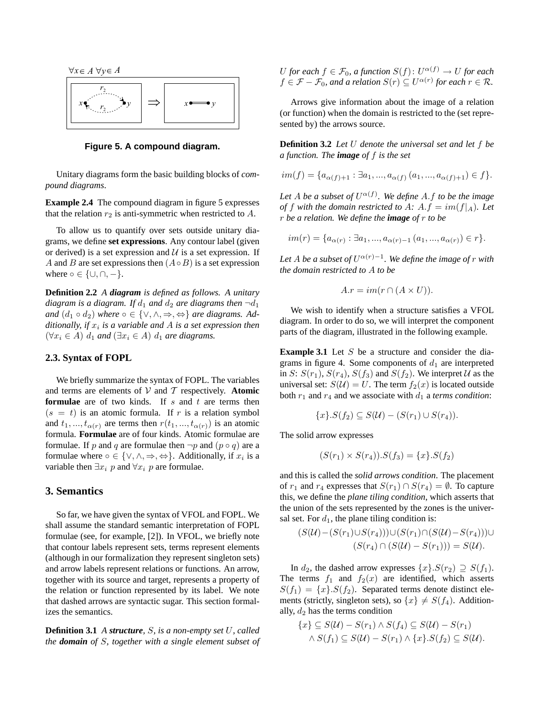

**Figure 5. A compound diagram.**

Unitary diagrams form the basic building blocks of *compound diagrams*.

**Example 2.4** The compound diagram in figure 5 expresses that the relation  $r_2$  is anti-symmetric when restricted to  $A$ .

To allow us to quantify over sets outside unitary diagrams, we define **set expressions**. Any contour label (given or derived) is a set expression and  $U$  is a set expression. If A and B are set expressions then  $(A \circ B)$  is a set expression where  $\circ \in \{\cup, \cap, -\}.$ 

**Definition 2.2** *A diagram is defined as follows. A unitary diagram is a diagram. If*  $d_1$  *and*  $d_2$  *are diagrams then*  $\neg d_1$ *and*  $(d_1 \circ d_2)$  *where*  $\circ \in \{ \vee, \wedge, \Rightarrow, \Leftrightarrow \}$  *are diagrams.* Additionally, if  $x_i$  is a variable and A is a set expression then  $(\forall x_i \in A)$  d<sub>1</sub> and  $(\exists x_i \in A)$  d<sub>1</sub> are diagrams.

#### **2.3. Syntax of FOPL**

We briefly summarize the syntax of FOPL. The variables and terms are elements of  $V$  and  $T$  respectively. **Atomic formulae** are of two kinds. If s and t are terms then  $(s = t)$  is an atomic formula. If r is a relation symbol and  $t_1, ..., t_{\alpha(r)}$  are terms then  $r(t_1, ..., t_{\alpha(r)})$  is an atomic formula. **Formulae** are of four kinds. Atomic formulae are formulae. If p and q are formulae then  $\neg p$  and  $(p \circ q)$  are a formulae where  $\circ \in \{\vee, \wedge, \Rightarrow, \Leftrightarrow\}$ . Additionally, if  $x_i$  is a variable then  $\exists x_i \ p$  and  $\forall x_i \ p$  are formulae.

#### **3. Semantics**

So far, we have given the syntax of VFOL and FOPL. We shall assume the standard semantic interpretation of FOPL formulae (see, for example, [2]). In VFOL, we briefly note that contour labels represent sets, terms represent elements (although in our formalization they represent singleton sets) and arrow labels represent relations or functions. An arrow, together with its source and target, represents a property of the relation or function represented by its label. We note that dashed arrows are syntactic sugar. This section formalizes the semantics.

**Definition 3.1** *A structure,* S*, is a non-empty set* U*, called the domain of* S*, together with a single element subset of* U for each  $f \in \mathcal{F}_0$ , a function  $S(f)\colon U^{\alpha(f)} \to U$  for each  $f \in \mathcal{F} - \mathcal{F}_0$ , and a relation  $S(r) \subseteq U^{\alpha(r)}$  for each  $r \in \mathcal{R}$ .

Arrows give information about the image of a relation (or function) when the domain is restricted to the (set represented by) the arrows source.

**Definition 3.2** *Let* U *denote the universal set and let* f *be a function. The image of* f *is the set*

$$
im(f) = \{a_{\alpha(f)+1} : \exists a_1, ..., a_{\alpha(f)} (a_1, ..., a_{\alpha(f)+1}) \in f\}.
$$

Let  $A$  be a subset of  $U^{\alpha(f)}$ . We define  $A$ . f to be the image *of* f with the domain restricted to A:  $A.f = im(f|_A)$ *. Let* r *be a relation. We define the image of* r *to be*

$$
im(r) = \{a_{\alpha(r)} : \exists a_1, ..., a_{\alpha(r)-1} (a_1, ..., a_{\alpha(r)}) \in r\}.
$$

Let A be a subset of  $U^{\alpha(r)-1}$ . We define the image of r with *the domain restricted to* A *to be*

$$
A.r = im(r \cap (A \times U)).
$$

We wish to identify when a structure satisfies a VFOL diagram. In order to do so, we will interpret the component parts of the diagram, illustrated in the following example.

**Example 3.1** Let S be a structure and consider the diagrams in figure 4. Some components of  $d_1$  are interpreted in S:  $S(r_1)$ ,  $S(r_4)$ ,  $S(f_3)$  and  $S(f_2)$ . We interpret U as the universal set:  $S(\mathcal{U}) = U$ . The term  $f_2(x)$  is located outside both  $r_1$  and  $r_4$  and we associate with  $d_1$  a *terms condition*:

$$
\{x\}.S(f_2) \subseteq S(\mathcal{U}) - (S(r_1) \cup S(r_4)).
$$

The solid arrow expresses

$$
(S(r_1) \times S(r_4)).S(f_3) = \{x\}.S(f_2)
$$

and this is called the *solid arrows condition*. The placement of  $r_1$  and  $r_4$  expresses that  $S(r_1) \cap S(r_4) = \emptyset$ . To capture this, we define the *plane tiling condition*, which asserts that the union of the sets represented by the zones is the universal set. For  $d_1$ , the plane tiling condition is:

$$
(S(\mathcal{U}) - (S(r_1) \cup S(r_4))) \cup (S(r_1) \cap (S(\mathcal{U}) - S(r_4))) \cup (S(r_4) \cap (S(\mathcal{U}) - S(r_1))) = S(\mathcal{U}).
$$

In  $d_2$ , the dashed arrow expresses  $\{x\} \cdot S(r_2) \supseteq S(f_1)$ . The terms  $f_1$  and  $f_2(x)$  are identified, which asserts  $S(f_1) = \{x\} S(f_2)$ . Separated terms denote distinct elements (strictly, singleton sets), so  $\{x\} \neq S(f_4)$ . Additionally,  $d_2$  has the terms condition

$$
\{x\} \subseteq S(\mathcal{U}) - S(r_1) \wedge S(f_4) \subseteq S(\mathcal{U}) - S(r_1)
$$
  
 
$$
\wedge S(f_1) \subseteq S(\mathcal{U}) - S(r_1) \wedge \{x\}.S(f_2) \subseteq S(\mathcal{U}).
$$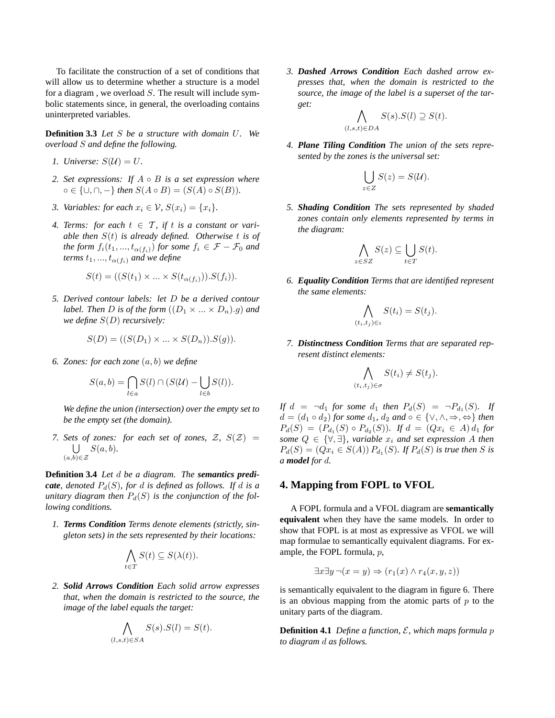To facilitate the construction of a set of conditions that will allow us to determine whether a structure is a model for a diagram, we overload  $S$ . The result will include symbolic statements since, in general, the overloading contains uninterpreted variables.

**Definition 3.3** *Let* S *be a structure with domain* U*. We overload* S *and define the following.*

- *1. Universe:*  $S(\mathcal{U}) = U$ .
- *2. Set expressions: If* A B *is a set expression where*  $\circ$  ∈ {∪, ∩, −} *then*  $S(A \circ B) = (S(A) \circ S(B))$ .
- *3. Variables: for each*  $x_i \in V$ *,*  $S(x_i) = \{x_i\}$ *.*
- 4. Terms: for each  $t \in \mathcal{T}$ , if t is a constant or vari*able then* S(t) *is already defined. Otherwise* t *is of the form*  $f_i(t_1, ..., t_{\alpha(f_i)})$  *for some*  $f_i \in \mathcal{F} - \mathcal{F}_0$  *and terms*  $t_1, ..., t_{\alpha(f_i)}$  *and we define*

$$
S(t) = ((S(t1) \times ... \times S(t_{\alpha(f_i)})).S(f_i)).
$$

*5. Derived contour labels: let* D *be a derived contour label. Then D is of the form*  $((D_1 \times ... \times D_n).g)$  *and we define* S(D) *recursively:*

$$
S(D) = ((S(D_1) \times \ldots \times S(D_n)).S(g)).
$$

*6. Zones: for each zone* (a,b) *we define*

$$
S(a,b) = \bigcap_{l \in a} S(l) \cap (S(\mathcal{U}) - \bigcup_{l \in b} S(l)).
$$

*We define the union (intersection) over the empty set to be the empty set (the domain).*

*7. Sets of zones: for each set of zones,*  $Z$ ,  $S(Z)$  = U  $(a,b) \in \mathcal{Z}$ S(a, b)*.*

**Definition 3.4** *Let* d *be a diagram. The semantics predicate, denoted*  $P_d(S)$ *, for* d *is defined as follows. If* d *is a unitary diagram then*  $P_d(S)$  *is the conjunction of the following conditions.*

*1. Terms Condition Terms denote elements (strictly, singleton sets) in the sets represented by their locations:*

$$
\bigwedge_{t \in T} S(t) \subseteq S(\lambda(t)).
$$

*2. Solid Arrows Condition Each solid arrow expresses that, when the domain is restricted to the source, the image of the label equals the target:*

$$
\bigwedge_{(l,s,t)\in SA} S(s).S(l) = S(t).
$$

*3. Dashed Arrows Condition Each dashed arrow expresses that, when the domain is restricted to the source, the image of the label is a superset of the target:*

$$
\bigwedge_{(l,s,t)\in DA} S(s).S(l) \supseteq S(t).
$$

*4. Plane Tiling Condition The union of the sets represented by the zones is the universal set:*

$$
\bigcup_{z\in Z} S(z)=S(U).
$$

*5. Shading Condition The sets represented by shaded zones contain only elements represented by terms in the diagram:*

$$
\bigwedge_{z \in SZ} S(z) \subseteq \bigcup_{t \in T} S(t).
$$

*6. Equality Condition Terms that are identified represent the same elements:*

$$
\bigwedge_{(t_i,t_j)\in\iota} S(t_i) = S(t_j).
$$

*7. Distinctness Condition Terms that are separated represent distinct elements:*

$$
\bigwedge_{(t_i,t_j)\in\sigma} S(t_i) \neq S(t_j).
$$

*If*  $d = \neg d_1$  for some  $d_1$  then  $P_d(S) = \neg P_{d_1}(S)$ . If  $d = (d_1 \circ d_2)$  *for some*  $d_1$ *,*  $d_2$  *and*  $\circ \in \{ \vee, \wedge, \Rightarrow, \Leftrightarrow \}$  *then*  $P_d(S) = (P_{d_1}(S) \circ P_{d_2}(S))$ *.* If  $d = (Qx_i \in A) d_1$  for *some*  $Q \in \{ \forall \}$ ,  $\exists \}$ *, variable*  $x_i$  *and set expression* A *then*  $P_d(S) = (Qx_i \in S(A)) P_{d_1}(S)$ . If  $P_d(S)$  is true then S is *a model for* d*.*

#### **4. Mapping from FOPL to VFOL**

A FOPL formula and a VFOL diagram are **semantically equivalent** when they have the same models. In order to show that FOPL is at most as expressive as VFOL we will map formulae to semantically equivalent diagrams. For example, the FOPL formula, p,

$$
\exists x \exists y \neg (x = y) \Rightarrow (r_1(x) \land r_4(x, y, z))
$$

is semantically equivalent to the diagram in figure 6. There is an obvious mapping from the atomic parts of  $p$  to the unitary parts of the diagram.

**Definition 4.1** *Define a function,* E*, which maps formula* p *to diagram* d *as follows.*